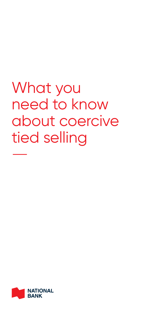# What you need to know about coercive tied selling  $\frac{1}{\sqrt{2}}$

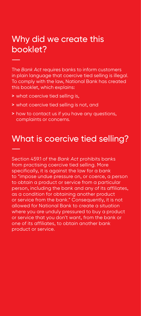# Why did we create this booklet? —

The *Bank Act* requires banks to inform customers in plain language that coercive tied selling is illegal. To comply with the law, National Bank has created this booklet, which explains:

- **>** what coercive tied selling is,
- **>** what coercive tied selling is not, and
- **>** how to contact us if you have any questions, complaints or concerns.

# What is coercive tied selling? —

Section 459.1 of the *Bank Act* prohibits banks from practising coercive tied selling. More specifically, it is against the law for a bank to "impose undue pressure on, or coerce, a person to obtain a product or service from a particular person, including the bank and any of its affiliates, as a condition for obtaining another product or service from the bank." Consequently, it is not allowed for National Bank to create a situation where you are unduly pressured to buy a product or service that you don't want, from the bank or one of its affiliates, to obtain another bank product or service.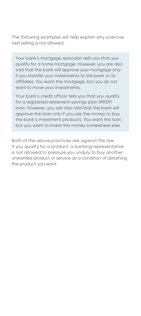The following examples will help explain why coercive tied selling is not allowed.

Your bank's mortgage specialist tells you that you qualify for a home mortgage. However, you are also told that the bank will *approve* your mortgage *only* if you transfer your investments to the bank or its affiliates. You want the mortgage, but you do not want to move your investments.

Your bank's credit officer tells you that you qualify for a registered retirement savings plan (RRSP) loan. However, you are also told that the bank will *approve* the loan *only* if you use the money to buy the bank's investment products. You want the loan, but you want to invest the money somewhere else.

Both of the above practices are against the law. If you qualify for a product, a banking representative is not allowed to pressure you unduly to buy another unwanted product or service as a condition of obtaining the product you want.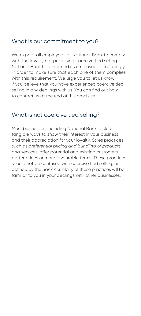### What is our commitment to you?

We expect all employees at National Bank to comply with the law by not practising coercive tied selling. National Bank has informed its employees accordingly in order to make sure that each one of them complies with this requirement. We urge you to let us know if you believe that you have experienced coercive tied selling in any dealings with us. You can find out how to contact us at the end of this brochure.

#### What is not coercive tied selling?

Most businesses, including National Bank, look for tangible ways to show their interest in your business and their appreciation for your loyalty. Sales practices, such as *preferential pricing and bundling of products and services*, offer potential and existing customers better prices or more favourable terms. These practices should not be confused with coercive tied selling, as defined by the *Bank Act*. Many of these practices will be familiar to you in your dealings with other businesses.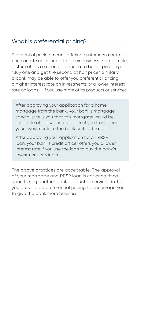## What is preferential pricing?

Preferential pricing means offering customers a better price or rate on all or part of their business. For example, a store offers a second product at a better price, e.g., "Buy one and get the second at half price." Similarly, a bank may be able to offer you preferential pricing a higher interest rate on investments or a lower interest rate on loans — if you use more of its products or services.

After approving your application for a home mortgage from the bank, your bank's mortgage specialist tells you that this mortgage would be available at a lower interest rate if you transferred your investments to the bank or its affiliates.

After approving your application for an RRSP loan, your bank's credit officer offers you a lower interest rate if you use the loan to buy the bank's investment products.

The above practices are acceptable. The approval of your mortgage and RRSP loan is *not conditional* upon taking another bank product or service. Rather, you are offered preferential pricing to encourage you to give the bank more business.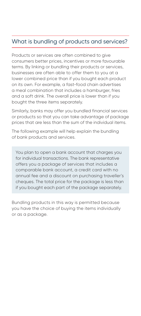## What is bundling of products and services?

Products or services are often combined to give consumers better prices, incentives or more favourable terms. By linking or bundling their products or services, businesses are often able to offer them to you at a lower combined price than if you bought each product on its own. For example, a fast-food chain advertises a meal combination that includes a hamburger, fries and a soft drink. The overall price is lower than if you bought the three items separately.

Similarly, banks may offer you bundled financial services or products so that you can take advantage of package prices that are less than the sum of the individual items.

The following example will help explain the bundling of bank products and services.

You plan to open a bank account that charges you for individual transactions. The bank representative offers you a package of services that includes a comparable bank account, a credit card with no annual fee and a discount on purchasing traveller's cheques. The total price for the package is less than if you bought each part of the package separately.

Bundling products in this way is permitted because you have the choice of buying the items individually or as a package.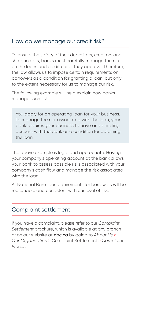#### How do we manage our credit risk?

To ensure the safety of their depositors, creditors and shareholders, banks must carefully manage the risk on the loans and credit cards they approve. Therefore, the law allows us to impose certain requirements on borrowers as a condition for granting a loan, but only to the extent necessary for us to manage our risk.

The following example will help explain how banks manage such risk.

You apply for an operating loan for your business. To manage the risk associated with the loan, your bank requires your business to have an operating account with the bank as a condition for obtaining the loan.

The above example is legal and appropriate. Having your company's operating account at the bank allows your bank to assess possible risks associated with your company's cash flow and manage the risk associated with the loan

At National Bank, our requirements for borrowers will be reasonable and consistent with our level of risk.

#### Complaint settlement

If you have a complaint, please refer to our *Complaint Settlement* brochure, which is available at any branch or on our website at nbc.ca by going to *About Us* > *Our Organization* > Complaint Settlement > *Complaint Process.*